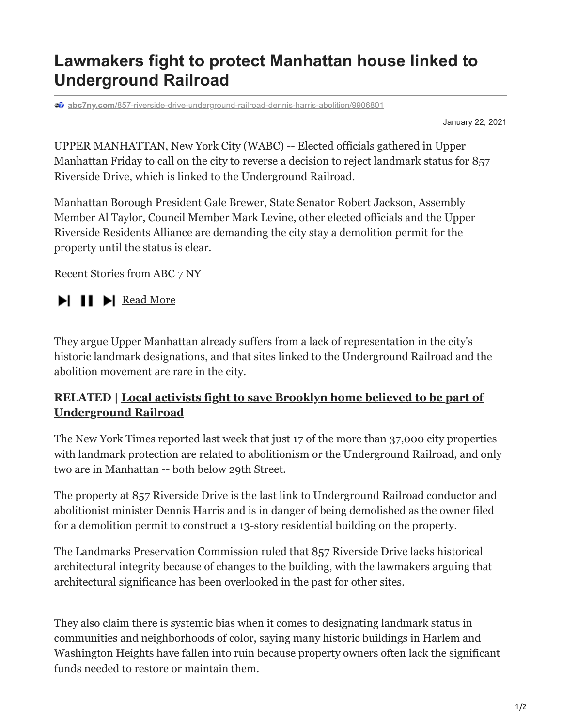## **Lawmakers fight to protect Manhattan house linked to Underground Railroad**

**abc7ny.com**[/857-riverside-drive-underground-railroad-dennis-harris-abolition/9906801](https://abc7ny.com/857-riverside-drive-underground-railroad-dennis-harris-abolition/9906801/)

January 22, 2021

UPPER MANHATTAN, New York City (WABC) -- Elected officials gathered in Upper Manhattan Friday to call on the city to reverse a decision to reject landmark status for 857 Riverside Drive, which is linked to the Underground Railroad.

Manhattan Borough President Gale Brewer, State Senator Robert Jackson, Assembly Member Al Taylor, Council Member Mark Levine, other elected officials and the Upper Riverside Residents Alliance are demanding the city stay a demolition permit for the property until the status is clear.

Recent Stories from ABC 7 NY

## $\blacktriangleright$  II  $\blacktriangleright$  [Read More](https://abc7ny.com/mike-bossy-new-york-islanders-stanley-cup-hockey/11751282/?traffic_source=Connatix)

They argue Upper Manhattan already suffers from a lack of representation in the city's historic landmark designations, and that sites linked to the Underground Railroad and the abolition movement are rare in the city.

## **[RELATED | Local activists fight to save Brooklyn home believed to be part of](https://abc7ny.com/society/brooklyn-home-believed-to-be-part-of-underground-railroad/5896063/) Underground Railroad**

The New York Times reported last week that just 17 of the more than 37,000 city properties with landmark protection are related to abolitionism or the Underground Railroad, and only two are in Manhattan -- both below 29th Street.

The property at 857 Riverside Drive is the last link to Underground Railroad conductor and abolitionist minister Dennis Harris and is in danger of being demolished as the owner filed for a demolition permit to construct a 13-story residential building on the property.

The Landmarks Preservation Commission ruled that 857 Riverside Drive lacks historical architectural integrity because of changes to the building, with the lawmakers arguing that architectural significance has been overlooked in the past for other sites.

They also claim there is systemic bias when it comes to designating landmark status in communities and neighborhoods of color, saying many historic buildings in Harlem and Washington Heights have fallen into ruin because property owners often lack the significant funds needed to restore or maintain them.